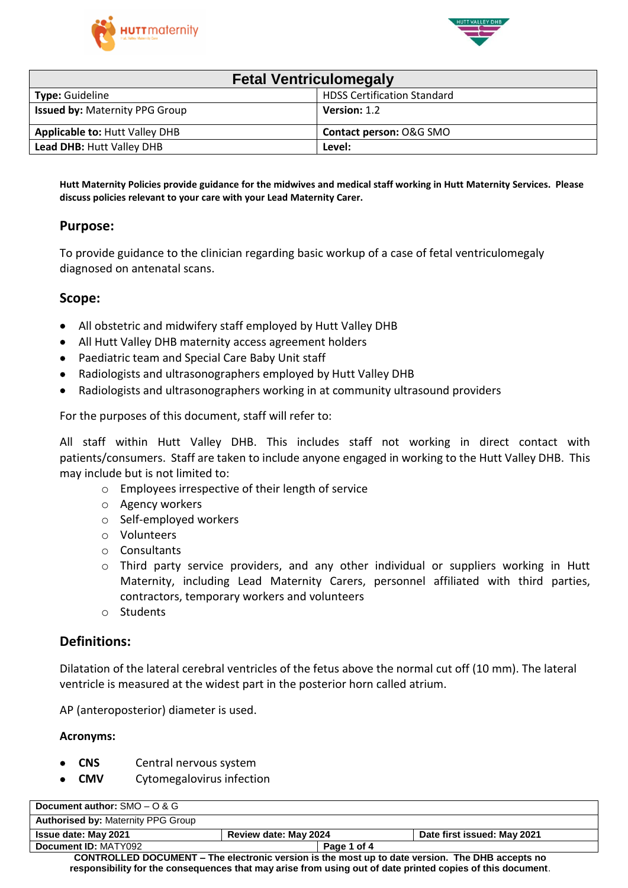



| <b>Fetal Ventriculomegaly</b>         |                                    |  |
|---------------------------------------|------------------------------------|--|
| <b>Type: Guideline</b>                | <b>HDSS Certification Standard</b> |  |
| <b>Issued by: Maternity PPG Group</b> | Version: 1.2                       |  |
| <b>Applicable to: Hutt Valley DHB</b> | Contact person: O&G SMO            |  |
| <b>Lead DHB: Hutt Valley DHB</b>      | Level:                             |  |

Hutt Maternity Policies provide guidance for the midwives and medical staff working in Hutt Maternity Services. Please **discuss policies relevant to your care with your Lead Maternity Carer.**

### **Purpose:**

To provide guidance to the clinician regarding basic workup of a case of fetal ventriculomegaly diagnosed on antenatal scans.

### **Scope:**

- All obstetric and midwifery staff employed by Hutt Valley DHB
- All Hutt Valley DHB maternity access agreement holders
- Paediatric team and Special Care Baby Unit staff
- Radiologists and ultrasonographers employed by Hutt Valley DHB
- Radiologists and ultrasonographers working in at community ultrasound providers

For the purposes of this document, staff will refer to:

All staff within Hutt Valley DHB. This includes staff not working in direct contact with patients/consumers. Staff are taken to include anyone engaged in working to the Hutt Valley DHB. This may include but is not limited to:

- o Employees irrespective of their length of service
- o Agency workers
- o Self-employed workers
- o Volunteers
- o Consultants
- o Third party service providers, and any other individual or suppliers working in Hutt Maternity, including Lead Maternity Carers, personnel affiliated with third parties, contractors, temporary workers and volunteers
- o Students

### **Definitions:**

Dilatation of the lateral cerebral ventricles of the fetus above the normal cut off (10 mm). The lateral ventricle is measured at the widest part in the posterior horn called atrium.

AP (anteroposterior) diameter is used.

#### **Acronyms:**

- **CNS** Central nervous system
- **CMV** Cytomegalovirus infection

| Document author: $SMO - O & G$                                                                  |                       |             |                             |
|-------------------------------------------------------------------------------------------------|-----------------------|-------------|-----------------------------|
| <b>Authorised by: Maternity PPG Group</b>                                                       |                       |             |                             |
| <b>Issue date: May 2021</b>                                                                     | Review date: May 2024 |             | Date first issued: May 2021 |
| Document ID: MATY092                                                                            |                       | Page 1 of 4 |                             |
| CONTROLLED DOCUMENT – The electronic version is the most up to date version. The DHR accepts no |                       |             |                             |

**CONTROLLED DOCUMENT – The electronic version is the most up to date version. The DHB accepts no responsibility for the consequences that may arise from using out of date printed copies of this document**.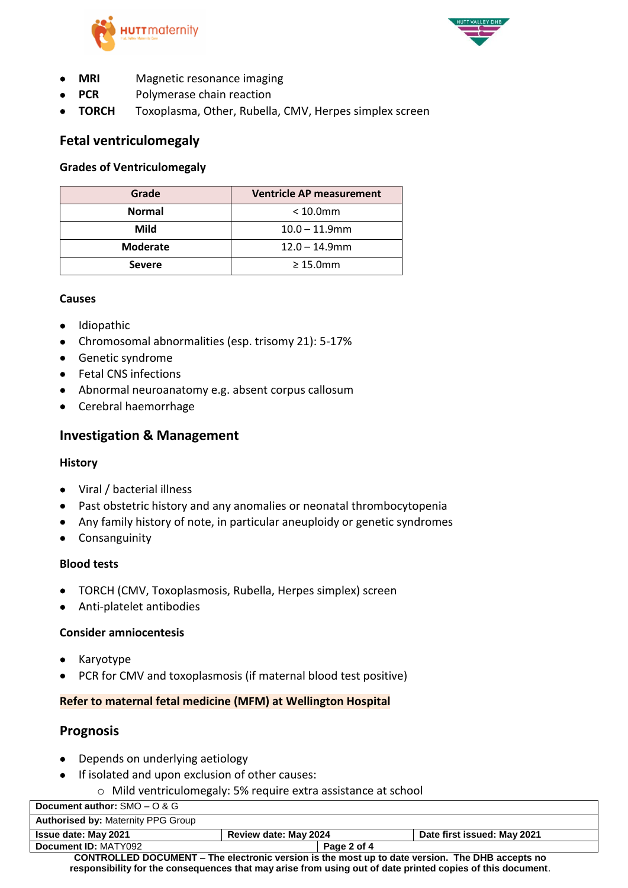



- **MRI** Magnetic resonance imaging
- **PCR** Polymerase chain reaction
- **TORCH** Toxoplasma, Other, Rubella, CMV, Herpes simplex screen

## **Fetal ventriculomegaly**

#### **Grades of Ventriculomegaly**

| Grade           | <b>Ventricle AP measurement</b> |  |
|-----------------|---------------------------------|--|
| <b>Normal</b>   | $<$ 10.0 $mm$                   |  |
| Mild            | $10.0 - 11.9$ mm                |  |
| <b>Moderate</b> | $12.0 - 14.9$ mm                |  |
| <b>Severe</b>   | $\geq 15.0$ mm                  |  |

#### **Causes**

- Idiopathic
- Chromosomal abnormalities (esp. trisomy 21): 5-17%
- Genetic syndrome
- **•** Fetal CNS infections
- Abnormal neuroanatomy e.g. absent corpus callosum
- Cerebral haemorrhage

### **Investigation & Management**

#### **History**

- Viral / bacterial illness
- Past obstetric history and any anomalies or neonatal thrombocytopenia
- Any family history of note, in particular aneuploidy or genetic syndromes
- **•** Consanguinity

#### **Blood tests**

- TORCH (CMV, Toxoplasmosis, Rubella, Herpes simplex) screen
- Anti-platelet antibodies

#### **Consider amniocentesis**

- Karyotype
- PCR for CMV and toxoplasmosis (if maternal blood test positive)

#### **Refer to maternal fetal medicine (MFM) at Wellington Hospital**

### **Prognosis**

- Depends on underlying aetiology
- If isolated and upon exclusion of other causes:
	- o Mild ventriculomegaly: 5% require extra assistance at school

| Document author: $SMO - O & G$                                                                  |                              |             |                             |
|-------------------------------------------------------------------------------------------------|------------------------------|-------------|-----------------------------|
| <b>Authorised by: Maternity PPG Group</b>                                                       |                              |             |                             |
| <b>Issue date: May 2021</b>                                                                     | <b>Review date: May 2024</b> |             | Date first issued: May 2021 |
| Document ID: MATY092                                                                            |                              | Page 2 of 4 |                             |
| CONTROLLED DOCUMENT – The electronic version is the most up to date version. The DHB accepts no |                              |             |                             |

**CONTROLLED DOCUMENT – The electronic version is the most up to date version. The DHB accepts no responsibility for the consequences that may arise from using out of date printed copies of this document**.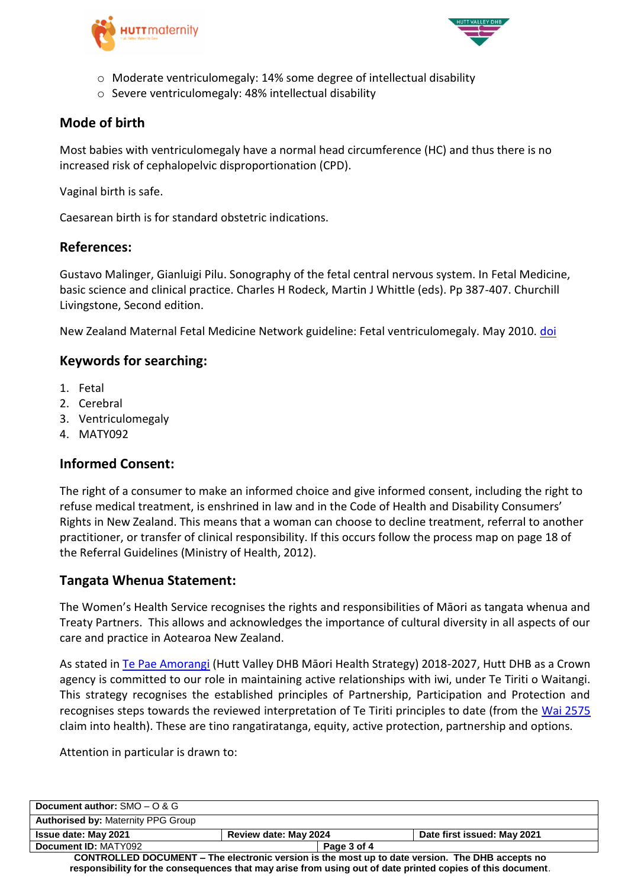



- o Moderate ventriculomegaly: 14% some degree of intellectual disability
- o Severe ventriculomegaly: 48% intellectual disability

# **Mode of birth**

Most babies with ventriculomegaly have a normal head circumference (HC) and thus there is no increased risk of cephalopelvic disproportionation (CPD).

Vaginal birth is safe.

Caesarean birth is for standard obstetric indications.

### **References:**

Gustavo Malinger, Gianluigi Pilu. Sonography of the fetal central nervous system. In Fetal Medicine, basic science and clinical practice. Charles H Rodeck, Martin J Whittle (eds). Pp 387-407. Churchill Livingstone, Second edition.

New Zealand Maternal Fetal Medicine Network guideline: Fetal ventriculomegaly. May 2010. [doi](https://www.healthpoint.co.nz/downloadinfo,138318,otherList,pl6j8hw0se7gva812dft.do)

## **Keywords for searching:**

- 1. Fetal
- 2. Cerebral
- 3. Ventriculomegaly
- 4. MATY092

## **Informed Consent:**

The right of a consumer to make an informed choice and give informed consent, including the right to refuse medical treatment, is enshrined in law and in the Code of Health and Disability Consumers' Rights in New Zealand. This means that a woman can choose to decline treatment, referral to another practitioner, or transfer of clinical responsibility. If this occurs follow the process map on page 18 of the Referral Guidelines (Ministry of Health, 2012).

## **Tangata Whenua Statement:**

The Women's Health Service recognises the rights and responsibilities of Māori as tangata whenua and Treaty Partners. This allows and acknowledges the importance of cultural diversity in all aspects of our care and practice in Aotearoa New Zealand.

As stated in [Te Pae Amorangi](http://www.huttvalleydhb.org.nz/about-us/reports-and-publications/te-pae-amorangi/) (Hutt Valley DHB Māori Health Strategy) 2018-2027, Hutt DHB as a Crown agency is committed to our role in maintaining active relationships with iwi, under Te Tiriti o Waitangi. This strategy recognises the established principles of Partnership, Participation and Protection and recognises steps towards the reviewed interpretation of Te Tiriti principles to date (from the [Wai 2575](https://www.health.govt.nz/our-work/populations/maori-health/wai-2575-health-services-and-outcomes-kaupapa-inquiry) claim into health). These are tino rangatiratanga, equity, active protection, partnership and options.

Attention in particular is drawn to:

| Document author: $SMO - O & G$                                                                             |                       |             |                             |
|------------------------------------------------------------------------------------------------------------|-----------------------|-------------|-----------------------------|
| <b>Authorised by: Maternity PPG Group</b>                                                                  |                       |             |                             |
| <b>Issue date: May 2021</b>                                                                                | Review date: May 2024 |             | Date first issued: May 2021 |
| Document ID: MATY092                                                                                       |                       | Page 3 of 4 |                             |
| CONTROLLED DOCUMENT – The electronic version is the most up to date version. The DHB accepts no            |                       |             |                             |
| responsibility for the consequences that may arise from using out of date printed copies of this document. |                       |             |                             |